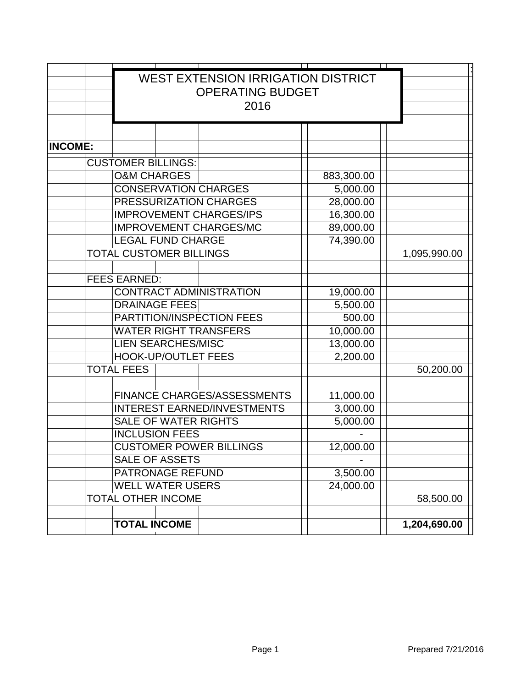|                | <b>WEST EXTENSION IRRIGATION DISTRICT</b><br><b>OPERATING BUDGET</b> |                                |                                    |  |            |  |              |
|----------------|----------------------------------------------------------------------|--------------------------------|------------------------------------|--|------------|--|--------------|
|                | 2016                                                                 |                                |                                    |  |            |  |              |
|                |                                                                      |                                |                                    |  |            |  |              |
| <b>INCOME:</b> |                                                                      |                                |                                    |  |            |  |              |
|                |                                                                      | <b>CUSTOMER BILLINGS:</b>      |                                    |  |            |  |              |
|                | <b>O&amp;M CHARGES</b>                                               |                                |                                    |  | 883,300.00 |  |              |
|                |                                                                      |                                |                                    |  | 5,000.00   |  |              |
|                | <b>CONSERVATION CHARGES</b><br>PRESSURIZATION CHARGES                |                                |                                    |  | 28,000.00  |  |              |
|                | <b>IMPROVEMENT CHARGES/IPS</b>                                       |                                |                                    |  | 16,300.00  |  |              |
|                |                                                                      |                                | <b>IMPROVEMENT CHARGES/MC</b>      |  | 89,000.00  |  |              |
|                |                                                                      | <b>LEGAL FUND CHARGE</b>       |                                    |  | 74,390.00  |  |              |
|                |                                                                      | <b>TOTAL CUSTOMER BILLINGS</b> |                                    |  |            |  | 1,095,990.00 |
|                |                                                                      |                                |                                    |  |            |  |              |
|                | <b>FEES EARNED:</b>                                                  |                                |                                    |  |            |  |              |
|                |                                                                      |                                | <b>CONTRACT ADMINISTRATION</b>     |  | 19,000.00  |  |              |
|                | <b>DRAINAGE FEES</b>                                                 |                                |                                    |  | 5,500.00   |  |              |
|                | PARTITION/INSPECTION FEES                                            |                                |                                    |  | 500.00     |  |              |
|                | <b>WATER RIGHT TRANSFERS</b>                                         |                                |                                    |  | 10,000.00  |  |              |
|                | <b>LIEN SEARCHES/MISC</b>                                            |                                |                                    |  | 13,000.00  |  |              |
|                | <b>HOOK-UP/OUTLET FEES</b>                                           |                                |                                    |  | 2,200.00   |  |              |
|                | <b>TOTAL FEES</b>                                                    |                                |                                    |  |            |  | 50,200.00    |
|                |                                                                      |                                |                                    |  |            |  |              |
|                |                                                                      |                                | <b>FINANCE CHARGES/ASSESSMENTS</b> |  | 11,000.00  |  |              |
|                | <b>INTEREST EARNED/INVESTMENTS</b>                                   |                                |                                    |  | 3,000.00   |  |              |
|                | <b>SALE OF WATER RIGHTS</b>                                          |                                |                                    |  | 5,000.00   |  |              |
|                | <b>INCLUSION FEES</b>                                                |                                |                                    |  |            |  |              |
|                | <b>CUSTOMER POWER BILLINGS</b>                                       |                                |                                    |  | 12,000.00  |  |              |
|                | <b>SALE OF ASSETS</b>                                                |                                |                                    |  |            |  |              |
|                | PATRONAGE REFUND                                                     |                                |                                    |  | 3,500.00   |  |              |
|                | <b>WELL WATER USERS</b>                                              |                                |                                    |  | 24,000.00  |  |              |
|                | <b>TOTAL OTHER INCOME</b>                                            |                                |                                    |  |            |  | 58,500.00    |
|                |                                                                      |                                |                                    |  |            |  |              |
|                | <b>TOTAL INCOME</b>                                                  |                                |                                    |  |            |  | 1,204,690.00 |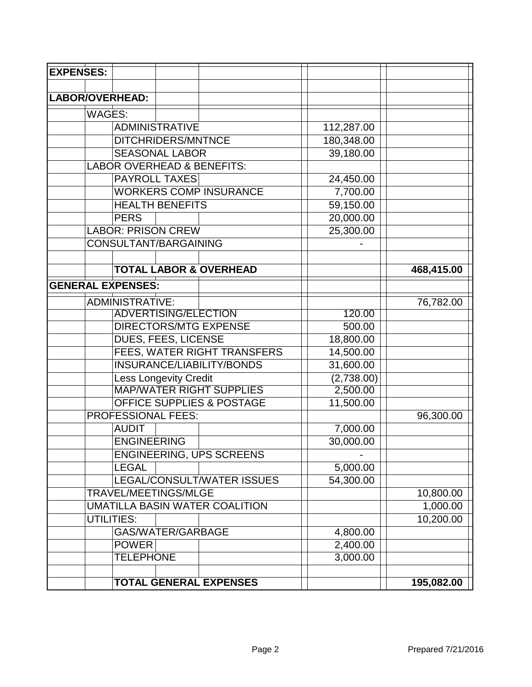| <b>EXPENSES:</b>                      |                                      |  |                                       |  |            |            |
|---------------------------------------|--------------------------------------|--|---------------------------------------|--|------------|------------|
|                                       |                                      |  |                                       |  |            |            |
| <b>LABOR/OVERHEAD:</b>                |                                      |  |                                       |  |            |            |
| <b>WAGES:</b>                         |                                      |  |                                       |  |            |            |
|                                       | <b>ADMINISTRATIVE</b>                |  |                                       |  | 112,287.00 |            |
|                                       | DITCHRIDERS/MNTNCE                   |  |                                       |  | 180,348.00 |            |
|                                       | <b>SEASONAL LABOR</b>                |  |                                       |  | 39,180.00  |            |
|                                       |                                      |  | <b>LABOR OVERHEAD &amp; BENEFITS:</b> |  |            |            |
|                                       | <b>PAYROLL TAXES</b>                 |  |                                       |  | 24,450.00  |            |
|                                       |                                      |  | <b>WORKERS COMP INSURANCE</b>         |  | 7,700.00   |            |
|                                       | <b>HEALTH BENEFITS</b>               |  |                                       |  | 59,150.00  |            |
|                                       | <b>PERS</b>                          |  |                                       |  | 20,000.00  |            |
|                                       | <b>LABOR: PRISON CREW</b>            |  |                                       |  | 25,300.00  |            |
|                                       | <b>CONSULTANT/BARGAINING</b>         |  |                                       |  |            |            |
|                                       |                                      |  |                                       |  |            |            |
|                                       |                                      |  | <b>TOTAL LABOR &amp; OVERHEAD</b>     |  |            | 468,415.00 |
| <b>GENERAL EXPENSES:</b>              |                                      |  |                                       |  |            |            |
|                                       | <b>ADMINISTRATIVE:</b>               |  |                                       |  |            | 76,782.00  |
|                                       | <b>ADVERTISING/ELECTION</b>          |  |                                       |  | 120.00     |            |
|                                       |                                      |  | <b>DIRECTORS/MTG EXPENSE</b>          |  | 500.00     |            |
|                                       | DUES, FEES, LICENSE                  |  |                                       |  | 18,800.00  |            |
|                                       | FEES, WATER RIGHT TRANSFERS          |  |                                       |  | 14,500.00  |            |
|                                       | INSURANCE/LIABILITY/BONDS            |  |                                       |  | 31,600.00  |            |
|                                       | <b>Less Longevity Credit</b>         |  |                                       |  | (2,738.00) |            |
|                                       | <b>MAP/WATER RIGHT SUPPLIES</b>      |  |                                       |  | 2,500.00   |            |
|                                       | <b>OFFICE SUPPLIES &amp; POSTAGE</b> |  |                                       |  | 11,500.00  |            |
|                                       | <b>PROFESSIONAL FEES:</b>            |  |                                       |  |            | 96,300.00  |
|                                       | <b>AUDIT</b>                         |  |                                       |  | 7,000.00   |            |
|                                       | <b>ENGINEERING</b>                   |  |                                       |  | 30,000.00  |            |
|                                       |                                      |  | <b>ENGINEERING, UPS SCREENS</b>       |  |            |            |
|                                       | <b>LEGAL</b>                         |  |                                       |  | 5,000.00   |            |
|                                       |                                      |  | LEGAL/CONSULT/WATER ISSUES            |  | 54,300.00  |            |
| TRAVEL/MEETINGS/MLGE                  |                                      |  |                                       |  |            | 10,800.00  |
| <b>UMATILLA BASIN WATER COALITION</b> |                                      |  |                                       |  |            | 1,000.00   |
|                                       | UTILITIES:                           |  |                                       |  |            | 10,200.00  |
|                                       | GAS/WATER/GARBAGE                    |  |                                       |  | 4,800.00   |            |
|                                       | <b>POWER</b>                         |  |                                       |  | 2,400.00   |            |
|                                       | <b>TELEPHONE</b>                     |  |                                       |  | 3,000.00   |            |
|                                       |                                      |  |                                       |  |            |            |
|                                       |                                      |  | <b>TOTAL GENERAL EXPENSES</b>         |  |            | 195,082.00 |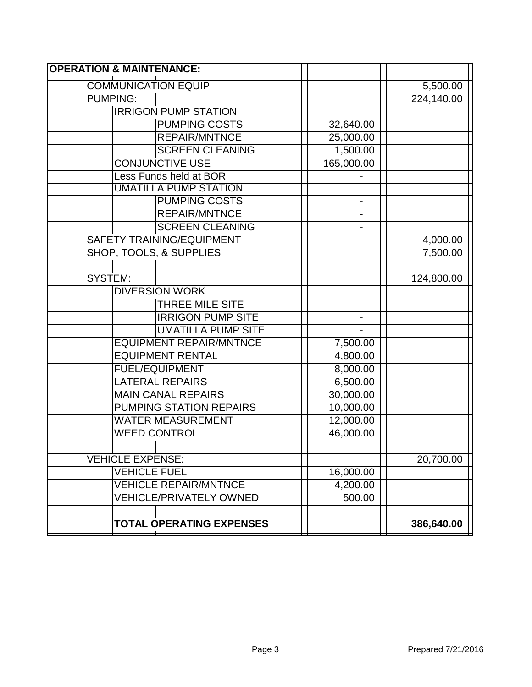| <b>OPERATION &amp; MAINTENANCE:</b> |                          |            |
|-------------------------------------|--------------------------|------------|
| <b>COMMUNICATION EQUIP</b>          |                          | 5,500.00   |
| <b>PUMPING:</b>                     |                          | 224,140.00 |
| <b>IRRIGON PUMP STATION</b>         |                          |            |
| <b>PUMPING COSTS</b>                | 32,640.00                |            |
| <b>REPAIR/MNTNCE</b>                | 25,000.00                |            |
| <b>SCREEN CLEANING</b>              | 1,500.00                 |            |
| <b>CONJUNCTIVE USE</b>              | 165,000.00               |            |
| Less Funds held at BOR              |                          |            |
| <b>UMATILLA PUMP STATION</b>        |                          |            |
| <b>PUMPING COSTS</b>                |                          |            |
| <b>REPAIR/MNTNCE</b>                |                          |            |
| <b>SCREEN CLEANING</b>              |                          |            |
| <b>SAFETY TRAINING/EQUIPMENT</b>    |                          | 4,000.00   |
| <b>SHOP, TOOLS, &amp; SUPPLIES</b>  |                          | 7,500.00   |
|                                     |                          |            |
| <b>SYSTEM:</b>                      |                          | 124,800.00 |
| <b>DIVERSION WORK</b>               |                          |            |
| <b>THREE MILE SITE</b>              | $\overline{\phantom{0}}$ |            |
| <b>IRRIGON PUMP SITE</b>            |                          |            |
| <b>UMATILLA PUMP SITE</b>           |                          |            |
| <b>EQUIPMENT REPAIR/MNTNCE</b>      | 7,500.00                 |            |
| <b>EQUIPMENT RENTAL</b>             | 4,800.00                 |            |
| <b>FUEL/EQUIPMENT</b>               | 8,000.00                 |            |
| <b>LATERAL REPAIRS</b>              | 6,500.00                 |            |
| <b>MAIN CANAL REPAIRS</b>           | 30,000.00                |            |
| <b>PUMPING STATION REPAIRS</b>      | 10,000.00                |            |
| <b>WATER MEASUREMENT</b>            | 12,000.00                |            |
| <b>WEED CONTROL</b>                 | 46,000.00                |            |
|                                     |                          |            |
| <b>VEHICLE EXPENSE:</b>             |                          | 20,700.00  |
| <b>VEHICLE FUEL</b>                 | 16,000.00                |            |
| <b>VEHICLE REPAIR/MNTNCE</b>        | 4,200.00                 |            |
| <b>VEHICLE/PRIVATELY OWNED</b>      | 500.00                   |            |
|                                     |                          |            |
| <b>TOTAL OPERATING EXPENSES</b>     |                          | 386,640.00 |